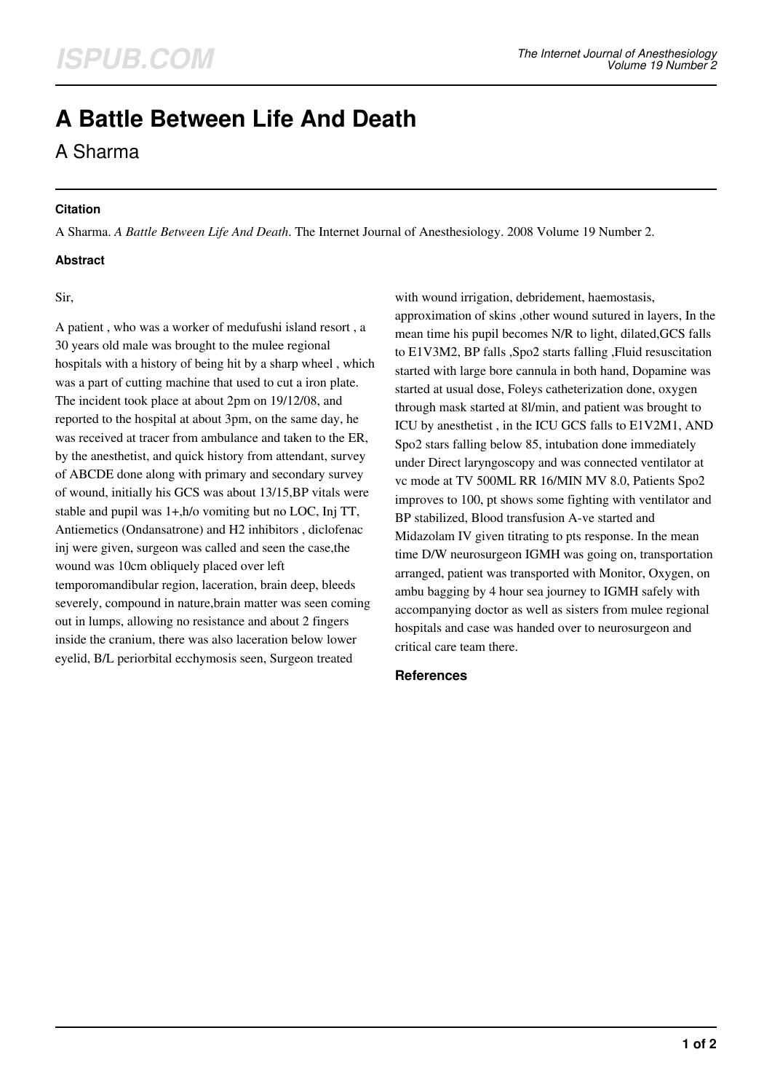# **A Battle Between Life And Death**

A Sharma

### **Citation**

A Sharma. *A Battle Between Life And Death*. The Internet Journal of Anesthesiology. 2008 Volume 19 Number 2.

## **Abstract**

Sir,

A patient , who was a worker of medufushi island resort , a 30 years old male was brought to the mulee regional hospitals with a history of being hit by a sharp wheel , which was a part of cutting machine that used to cut a iron plate. The incident took place at about 2pm on 19/12/08, and reported to the hospital at about 3pm, on the same day, he was received at tracer from ambulance and taken to the ER, by the anesthetist, and quick history from attendant, survey of ABCDE done along with primary and secondary survey of wound, initially his GCS was about 13/15,BP vitals were stable and pupil was 1+,h/o vomiting but no LOC, Inj TT, Antiemetics (Ondansatrone) and H2 inhibitors , diclofenac inj were given, surgeon was called and seen the case,the wound was 10cm obliquely placed over left temporomandibular region, laceration, brain deep, bleeds severely, compound in nature,brain matter was seen coming out in lumps, allowing no resistance and about 2 fingers inside the cranium, there was also laceration below lower eyelid, B/L periorbital ecchymosis seen, Surgeon treated

with wound irrigation, debridement, haemostasis, approximation of skins ,other wound sutured in layers, In the mean time his pupil becomes N/R to light, dilated,GCS falls to E1V3M2, BP falls ,Spo2 starts falling ,Fluid resuscitation started with large bore cannula in both hand, Dopamine was started at usual dose, Foleys catheterization done, oxygen through mask started at 8l/min, and patient was brought to ICU by anesthetist , in the ICU GCS falls to E1V2M1, AND Spo2 stars falling below 85, intubation done immediately under Direct laryngoscopy and was connected ventilator at vc mode at TV 500ML RR 16/MIN MV 8.0, Patients Spo2 improves to 100, pt shows some fighting with ventilator and BP stabilized, Blood transfusion A-ve started and Midazolam IV given titrating to pts response. In the mean time D/W neurosurgeon IGMH was going on, transportation arranged, patient was transported with Monitor, Oxygen, on ambu bagging by 4 hour sea journey to IGMH safely with accompanying doctor as well as sisters from mulee regional hospitals and case was handed over to neurosurgeon and critical care team there.

#### **References**